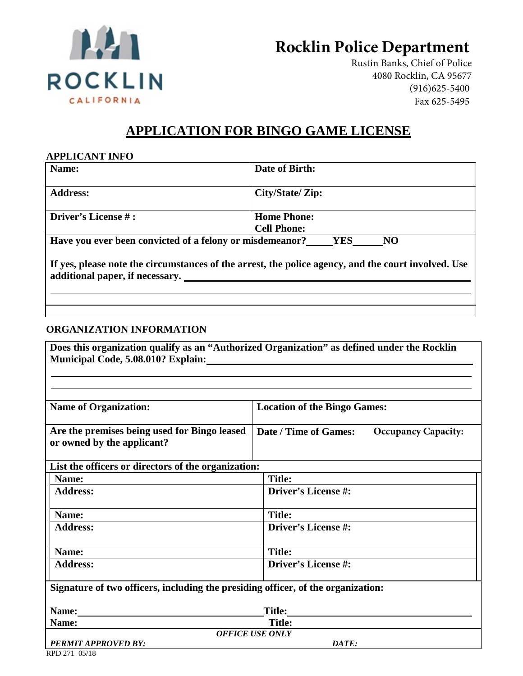

# **Rocklin Police Department**

Rustin Banks, Chief of Police 4080 Rocklin, CA 95677 (916)625-5400 Fax 625-5495

# **APPLICATION FOR BINGO GAME LICENSE**

### **APPLICANT INFO**

| Name:                                                                 | Date of Birth:     |
|-----------------------------------------------------------------------|--------------------|
| <b>Address:</b>                                                       | City/State/ Zip:   |
| Driver's License #:                                                   | <b>Home Phone:</b> |
|                                                                       | <b>Cell Phone:</b> |
| Have you ever been convicted of a felony or misdemeanor?<br>YES<br>NO |                    |

**If yes, please note the circumstances of the arrest, the police agency, and the court involved. Use additional paper, if necessary.** 

## **ORGANIZATION INFORMATION**

**Does this organization qualify as an "Authorized Organization" as defined under the Rocklin Municipal Code, 5.08.010? Explain:** 

| <b>Name of Organization:</b>                                                     | <b>Location of the Bingo Games:</b>                 |
|----------------------------------------------------------------------------------|-----------------------------------------------------|
| Are the premises being used for Bingo leased<br>or owned by the applicant?       | Date / Time of Games:<br><b>Occupancy Capacity:</b> |
| List the officers or directors of the organization:                              |                                                     |
| Name:                                                                            | <b>Title:</b>                                       |
| <b>Address:</b>                                                                  | Driver's License #:                                 |
| Name:                                                                            | <b>Title:</b>                                       |
| <b>Address:</b>                                                                  | <b>Driver's License #:</b>                          |
| Name:                                                                            | <b>Title:</b>                                       |
| <b>Address:</b>                                                                  | Driver's License #:                                 |
| Signature of two officers, including the presiding officer, of the organization: |                                                     |
| Name:                                                                            | Title:                                              |
| Name:                                                                            | <b>Title:</b>                                       |
| <b>OFFICE USE ONLY</b>                                                           |                                                     |
| <b>PERMIT APPROVED BY:</b>                                                       | DATE:                                               |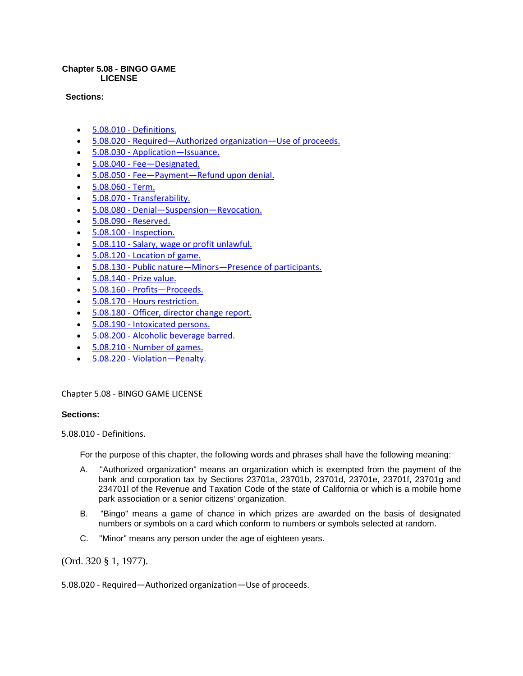#### **Chapter 5.08 - BINGO GAME LICENSE**

#### **Sections:**

- [5.08.010 Definitions.](https://library.municode.com/ca/rocklin/codes/code_of_ordinances/?nodeId=TIT5BUTALIRE_CH5.08BIGALI_5.08.010DE)
- [5.08.020 Required—Authorized organization—Use of proceeds.](https://library.municode.com/ca/rocklin/codes/code_of_ordinances/?nodeId=TIT5BUTALIRE_CH5.08BIGALI_5.08.020REUTORSEPR)
- [5.08.030 Application—Issuance.](https://library.municode.com/ca/rocklin/codes/code_of_ordinances/?nodeId=TIT5BUTALIRE_CH5.08BIGALI_5.08.030APSS)
- [5.08.040 Fee—Designated.](https://library.municode.com/ca/rocklin/codes/code_of_ordinances/?nodeId=TIT5BUTALIRE_CH5.08BIGALI_5.08.040FES)
- [5.08.050 Fee—Payment—Refund upon denial.](https://library.municode.com/ca/rocklin/codes/code_of_ordinances/?nodeId=TIT5BUTALIRE_CH5.08BIGALI_5.08.050FAYEFUPDE)
- [5.08.060 Term.](https://library.municode.com/ca/rocklin/codes/code_of_ordinances/?nodeId=TIT5BUTALIRE_CH5.08BIGALI_5.08.060TE)
- [5.08.070 Transferability.](https://library.municode.com/ca/rocklin/codes/code_of_ordinances/?nodeId=TIT5BUTALIRE_CH5.08BIGALI_5.08.070TR)
- [5.08.080 Denial—Suspension—Revocation.](https://library.municode.com/ca/rocklin/codes/code_of_ordinances/?nodeId=TIT5BUTALIRE_CH5.08BIGALI_5.08.080DEUSEV)
- [5.08.090 Reserved.](https://library.municode.com/ca/rocklin/codes/code_of_ordinances/?nodeId=TIT5BUTALIRE_CH5.08BIGALI_5.08.090RE)
- [5.08.100 Inspection.](https://library.municode.com/ca/rocklin/codes/code_of_ordinances/?nodeId=TIT5BUTALIRE_CH5.08BIGALI_5.08.100IN)
- [5.08.110 Salary, wage or profit unlawful.](https://library.municode.com/ca/rocklin/codes/code_of_ordinances/?nodeId=TIT5BUTALIRE_CH5.08BIGALI_5.08.110SAWAPRUN)
- [5.08.120 Location of game.](https://library.municode.com/ca/rocklin/codes/code_of_ordinances/?nodeId=TIT5BUTALIRE_CH5.08BIGALI_5.08.120LOGA)
- [5.08.130 Public nature—Minors—Presence of participants.](https://library.municode.com/ca/rocklin/codes/code_of_ordinances/?nodeId=TIT5BUTALIRE_CH5.08BIGALI_5.08.130PUNAINREPA)
- [5.08.140 Prize value.](https://library.municode.com/ca/rocklin/codes/code_of_ordinances/?nodeId=TIT5BUTALIRE_CH5.08BIGALI_5.08.140PRVA)
- [5.08.160 Profits—Proceeds.](https://library.municode.com/ca/rocklin/codes/code_of_ordinances/?nodeId=TIT5BUTALIRE_CH5.08BIGALI_5.08.160PRRO)
- [5.08.170 Hours restriction.](https://library.municode.com/ca/rocklin/codes/code_of_ordinances/?nodeId=TIT5BUTALIRE_CH5.08BIGALI_5.08.170HORE)
- [5.08.180 Officer, director change report.](https://library.municode.com/ca/rocklin/codes/code_of_ordinances/?nodeId=TIT5BUTALIRE_CH5.08BIGALI_5.08.180OFDICHRE)
- [5.08.190 Intoxicated persons.](https://library.municode.com/ca/rocklin/codes/code_of_ordinances/?nodeId=TIT5BUTALIRE_CH5.08BIGALI_5.08.190INPE)
- [5.08.200 Alcoholic beverage barred.](https://library.municode.com/ca/rocklin/codes/code_of_ordinances/?nodeId=TIT5BUTALIRE_CH5.08BIGALI_5.08.200ALBEBA)
- [5.08.210 Number of games.](https://library.municode.com/ca/rocklin/codes/code_of_ordinances/?nodeId=TIT5BUTALIRE_CH5.08BIGALI_5.08.210NUGA)
- [5.08.220 Violation—Penalty.](https://library.municode.com/ca/rocklin/codes/code_of_ordinances/?nodeId=TIT5BUTALIRE_CH5.08BIGALI_5.08.220VIEN)

#### Chapter 5.08 - BINGO GAME LICENSE

#### **Sections:**

5.08.010 - Definitions.

For the purpose of this chapter, the following words and phrases shall have the following meaning:

- A. "Authorized organization" means an organization which is exempted from the payment of the bank and corporation tax by Sections 23701a, 23701b, 23701d, 23701e, 23701f, 23701g and 234701l of the Revenue and Taxation Code of the state of California or which is a mobile home park association or a senior citizens' organization.
- B. "Bingo" means a game of chance in which prizes are awarded on the basis of designated numbers or symbols on a card which conform to numbers or symbols selected at random.
- C. "Minor" means any person under the age of eighteen years.

(Ord. 320 § 1, 1977).

5.08.020 - Required—Authorized organization—Use of proceeds.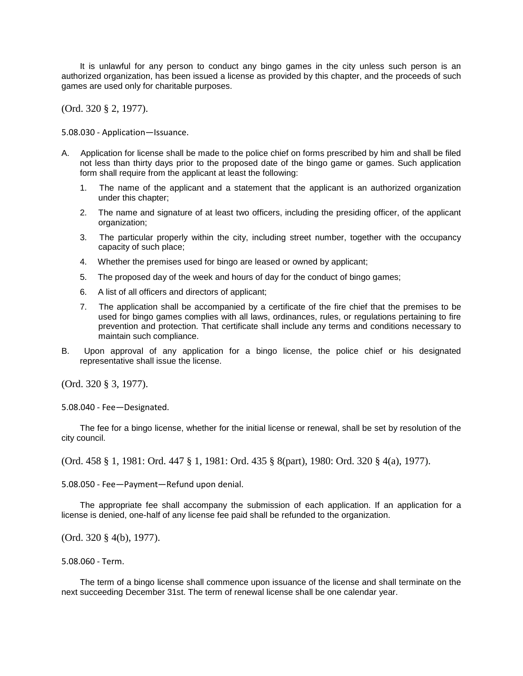It is unlawful for any person to conduct any bingo games in the city unless such person is an authorized organization, has been issued a license as provided by this chapter, and the proceeds of such games are used only for charitable purposes.

(Ord. 320 § 2, 1977).

5.08.030 - Application—Issuance.

- A. Application for license shall be made to the police chief on forms prescribed by him and shall be filed not less than thirty days prior to the proposed date of the bingo game or games. Such application form shall require from the applicant at least the following:
	- 1. The name of the applicant and a statement that the applicant is an authorized organization under this chapter;
	- 2. The name and signature of at least two officers, including the presiding officer, of the applicant organization;
	- 3. The particular properly within the city, including street number, together with the occupancy capacity of such place;
	- 4. Whether the premises used for bingo are leased or owned by applicant;
	- 5. The proposed day of the week and hours of day for the conduct of bingo games;
	- 6. A list of all officers and directors of applicant;
	- 7. The application shall be accompanied by a certificate of the fire chief that the premises to be used for bingo games complies with all laws, ordinances, rules, or regulations pertaining to fire prevention and protection. That certificate shall include any terms and conditions necessary to maintain such compliance.
- B. Upon approval of any application for a bingo license, the police chief or his designated representative shall issue the license.

(Ord. 320 § 3, 1977).

5.08.040 - Fee—Designated.

The fee for a bingo license, whether for the initial license or renewal, shall be set by resolution of the city council.

```
(Ord. 458 § 1, 1981: Ord. 447 § 1, 1981: Ord. 435 § 8(part), 1980: Ord. 320 § 4(a), 1977).
```
5.08.050 - Fee—Payment—Refund upon denial.

The appropriate fee shall accompany the submission of each application. If an application for a license is denied, one-half of any license fee paid shall be refunded to the organization.

(Ord. 320 § 4(b), 1977).

5.08.060 - Term.

The term of a bingo license shall commence upon issuance of the license and shall terminate on the next succeeding December 31st. The term of renewal license shall be one calendar year.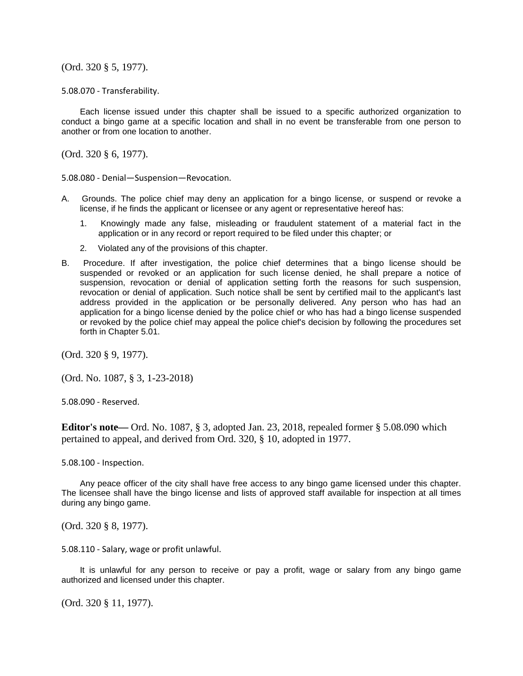(Ord. 320 § 5, 1977).

5.08.070 - Transferability.

Each license issued under this chapter shall be issued to a specific authorized organization to conduct a bingo game at a specific location and shall in no event be transferable from one person to another or from one location to another.

(Ord. 320 § 6, 1977).

5.08.080 - Denial—Suspension—Revocation.

- A. Grounds. The police chief may deny an application for a bingo license, or suspend or revoke a license, if he finds the applicant or licensee or any agent or representative hereof has:
	- 1. Knowingly made any false, misleading or fraudulent statement of a material fact in the application or in any record or report required to be filed under this chapter; or
	- 2. Violated any of the provisions of this chapter.
- B. Procedure. If after investigation, the police chief determines that a bingo license should be suspended or revoked or an application for such license denied, he shall prepare a notice of suspension, revocation or denial of application setting forth the reasons for such suspension, revocation or denial of application. Such notice shall be sent by certified mail to the applicant's last address provided in the application or be personally delivered. Any person who has had an application for a bingo license denied by the police chief or who has had a bingo license suspended or revoked by the police chief may appeal the police chief's decision by following the procedures set forth in Chapter 5.01.

(Ord. 320 § 9, 1977).

(Ord. No. 1087, § 3, 1-23-2018)

5.08.090 - Reserved.

**Editor's note—** Ord. No. 1087, § 3, adopted Jan. 23, 2018, repealed former § 5.08.090 which pertained to appeal, and derived from Ord. 320, § 10, adopted in 1977.

5.08.100 - Inspection.

Any peace officer of the city shall have free access to any bingo game licensed under this chapter. The licensee shall have the bingo license and lists of approved staff available for inspection at all times during any bingo game.

(Ord. 320 § 8, 1977).

5.08.110 - Salary, wage or profit unlawful.

It is unlawful for any person to receive or pay a profit, wage or salary from any bingo game authorized and licensed under this chapter.

(Ord. 320 § 11, 1977).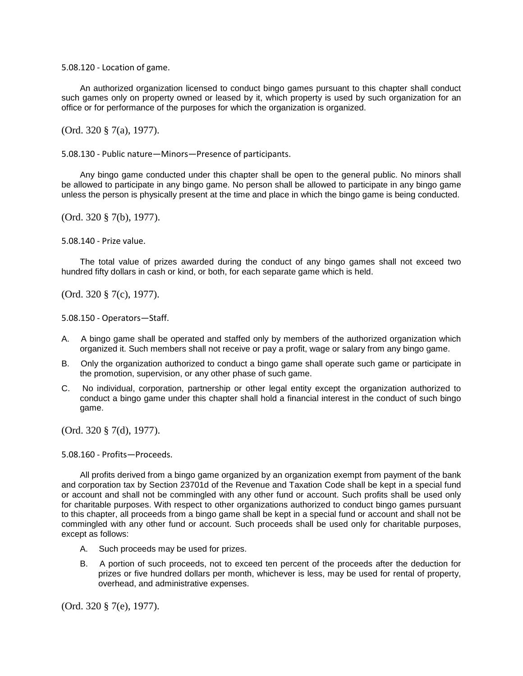5.08.120 - Location of game.

An authorized organization licensed to conduct bingo games pursuant to this chapter shall conduct such games only on property owned or leased by it, which property is used by such organization for an office or for performance of the purposes for which the organization is organized.

(Ord. 320 § 7(a), 1977).

5.08.130 - Public nature—Minors—Presence of participants.

Any bingo game conducted under this chapter shall be open to the general public. No minors shall be allowed to participate in any bingo game. No person shall be allowed to participate in any bingo game unless the person is physically present at the time and place in which the bingo game is being conducted.

(Ord. 320 § 7(b), 1977).

5.08.140 - Prize value.

The total value of prizes awarded during the conduct of any bingo games shall not exceed two hundred fifty dollars in cash or kind, or both, for each separate game which is held.

(Ord. 320 § 7(c), 1977).

5.08.150 - Operators—Staff.

- A. A bingo game shall be operated and staffed only by members of the authorized organization which organized it. Such members shall not receive or pay a profit, wage or salary from any bingo game.
- B. Only the organization authorized to conduct a bingo game shall operate such game or participate in the promotion, supervision, or any other phase of such game.
- C. No individual, corporation, partnership or other legal entity except the organization authorized to conduct a bingo game under this chapter shall hold a financial interest in the conduct of such bingo game.

(Ord. 320 § 7(d), 1977).

5.08.160 - Profits—Proceeds.

All profits derived from a bingo game organized by an organization exempt from payment of the bank and corporation tax by Section 23701d of the Revenue and Taxation Code shall be kept in a special fund or account and shall not be commingled with any other fund or account. Such profits shall be used only for charitable purposes. With respect to other organizations authorized to conduct bingo games pursuant to this chapter, all proceeds from a bingo game shall be kept in a special fund or account and shall not be commingled with any other fund or account. Such proceeds shall be used only for charitable purposes, except as follows:

- A. Such proceeds may be used for prizes.
- B. A portion of such proceeds, not to exceed ten percent of the proceeds after the deduction for prizes or five hundred dollars per month, whichever is less, may be used for rental of property, overhead, and administrative expenses.

(Ord. 320 § 7(e), 1977).